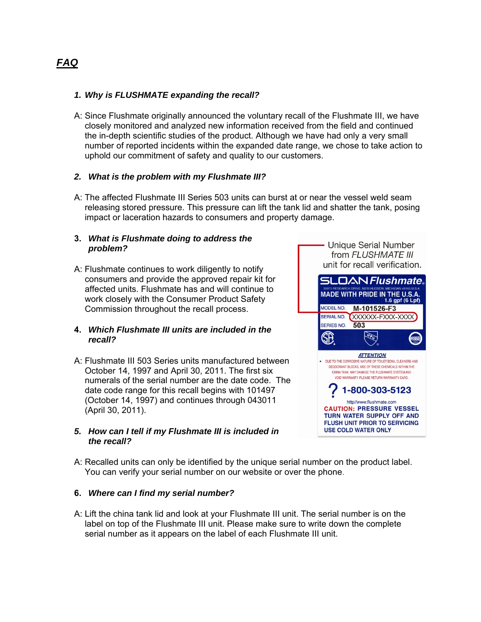# *1. Why is FLUSHMATE expanding the recall?*

A: Since Flushmate originally announced the voluntary recall of the Flushmate III, we have closely monitored and analyzed new information received from the field and continued the in-depth scientific studies of the product. Although we have had only a very small number of reported incidents within the expanded date range, we chose to take action to uphold our commitment of safety and quality to our customers.

### *2. What is the problem with my Flushmate III?*

A: The affected Flushmate III Series 503 units can burst at or near the vessel weld seam releasing stored pressure. This pressure can lift the tank lid and shatter the tank, posing impact or laceration hazards to consumers and property damage.

#### **3.** *What is Flushmate doing to address the problem?*

A: Flushmate continues to work diligently to notify consumers and provide the approved repair kit for affected units. Flushmate has and will continue to work closely with the Consumer Product Safety Commission throughout the recall process.

### **4.** *Which Flushmate III units are included in the recall?*

A: Flushmate III 503 Series units manufactured between October 14, 1997 and April 30, 2011. The first six numerals of the serial number are the date code. The date code range for this recall begins with 101497 (October 14, 1997) and continues through 043011 (April 30, 2011).

### *5. How can I tell if my Flushmate III is included in the recall?*



A: Recalled units can only be identified by the unique serial number on the product label. You can verify your serial number on our website or over the phone.

### **6.** *Where can I find my serial number?*

A: Lift the china tank lid and look at your Flushmate III unit. The serial number is on the label on top of the Flushmate III unit. Please make sure to write down the complete serial number as it appears on the label of each Flushmate III unit.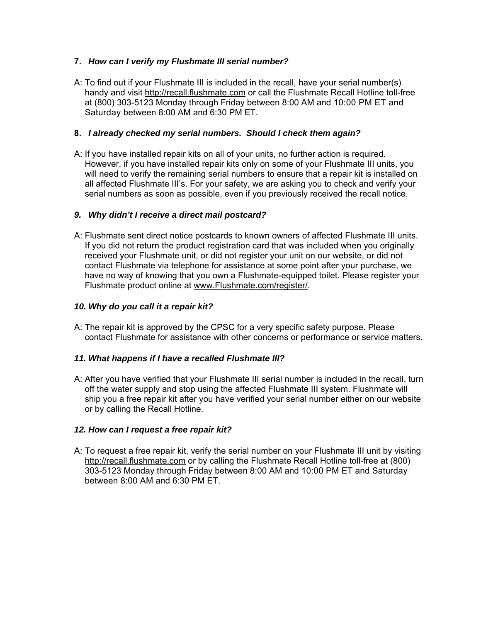## **7.** *How can I verify my Flushmate III serial number?*

A: To find out if your Flushmate III is included in the recall, have your serial number(s) handy and visit http://recall.flushmate.com or call the Flushmate Recall Hotline toll-free at (800) 303-5123 Monday through Friday between 8:00 AM and 10:00 PM ET and Saturday between 8:00 AM and 6:30 PM ET.

### **8.** *I already checked my serial numbers. Should I check them again?*

A: If you have installed repair kits on all of your units, no further action is required. However, if you have installed repair kits only on some of your Flushmate III units, you will need to verify the remaining serial numbers to ensure that a repair kit is installed on all affected Flushmate III's. For your safety, we are asking you to check and verify your serial numbers as soon as possible, even if you previously received the recall notice.

## *9. Why didn't I receive a direct mail postcard?*

A: Flushmate sent direct notice postcards to known owners of affected Flushmate III units. If you did not return the product registration card that was included when you originally received your Flushmate unit, or did not register your unit on our website, or did not contact Flushmate via telephone for assistance at some point after your purchase, we have no way of knowing that you own a Flushmate-equipped toilet. Please register your Flushmate product online at www.Flushmate.com/register/.

## *10. Why do you call it a repair kit?*

A: The repair kit is approved by the CPSC for a very specific safety purpose. Please contact Flushmate for assistance with other concerns or performance or service matters.

### *11. What happens if I have a recalled Flushmate III?*

A: After you have verified that your Flushmate III serial number is included in the recall, turn off the water supply and stop using the affected Flushmate III system. Flushmate will ship you a free repair kit after you have verified your serial number either on our website or by calling the Recall Hotline.

### *12. How can I request a free repair kit?*

A: To request a free repair kit, verify the serial number on your Flushmate III unit by visiting http://recall.flushmate.com or by calling the Flushmate Recall Hotline toll-free at (800) 303-5123 Monday through Friday between 8:00 AM and 10:00 PM ET and Saturday between 8:00 AM and 6:30 PM ET.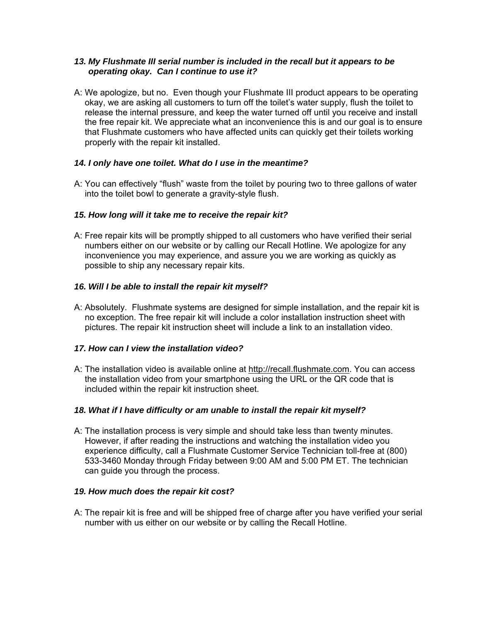### *13. My Flushmate III serial number is included in the recall but it appears to be operating okay. Can I continue to use it?*

A: We apologize, but no. Even though your Flushmate III product appears to be operating okay, we are asking all customers to turn off the toilet's water supply, flush the toilet to release the internal pressure, and keep the water turned off until you receive and install the free repair kit. We appreciate what an inconvenience this is and our goal is to ensure that Flushmate customers who have affected units can quickly get their toilets working properly with the repair kit installed.

### *14. I only have one toilet. What do I use in the meantime?*

A: You can effectively "flush" waste from the toilet by pouring two to three gallons of water into the toilet bowl to generate a gravity-style flush.

### *15. How long will it take me to receive the repair kit?*

A: Free repair kits will be promptly shipped to all customers who have verified their serial numbers either on our website or by calling our Recall Hotline. We apologize for any inconvenience you may experience, and assure you we are working as quickly as possible to ship any necessary repair kits.

## *16. Will I be able to install the repair kit myself?*

A: Absolutely. Flushmate systems are designed for simple installation, and the repair kit is no exception. The free repair kit will include a color installation instruction sheet with pictures. The repair kit instruction sheet will include a link to an installation video.

### *17. How can I view the installation video?*

A: The installation video is available online at http://recall.flushmate.com. You can access the installation video from your smartphone using the URL or the QR code that is included within the repair kit instruction sheet.

### *18. What if I have difficulty or am unable to install the repair kit myself?*

A: The installation process is very simple and should take less than twenty minutes. However, if after reading the instructions and watching the installation video you experience difficulty, call a Flushmate Customer Service Technician toll-free at (800) 533-3460 Monday through Friday between 9:00 AM and 5:00 PM ET. The technician can guide you through the process.

### *19. How much does the repair kit cost?*

A: The repair kit is free and will be shipped free of charge after you have verified your serial number with us either on our website or by calling the Recall Hotline.